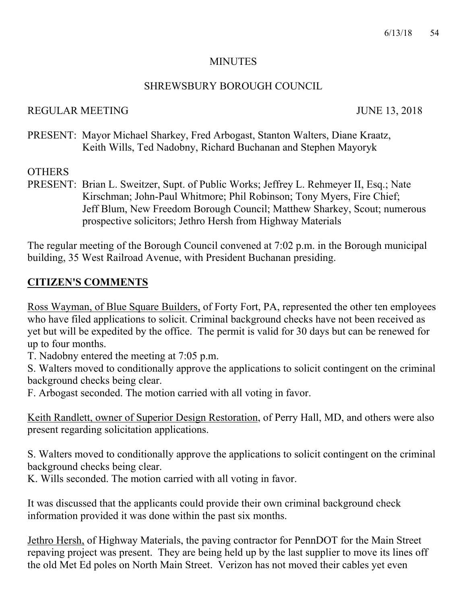#### **MINUTES**

#### SHREWSBURY BOROUGH COUNCIL

#### REGULAR MEETING JUNE 13, 2018

PRESENT: Mayor Michael Sharkey, Fred Arbogast, Stanton Walters, Diane Kraatz, Keith Wills, Ted Nadobny, Richard Buchanan and Stephen Mayoryk

## **OTHERS**

PRESENT: Brian L. Sweitzer, Supt. of Public Works; Jeffrey L. Rehmeyer II, Esq.; Nate Kirschman; John-Paul Whitmore; Phil Robinson; Tony Myers, Fire Chief; Jeff Blum, New Freedom Borough Council; Matthew Sharkey, Scout; numerous prospective solicitors; Jethro Hersh from Highway Materials

The regular meeting of the Borough Council convened at 7:02 p.m. in the Borough municipal building, 35 West Railroad Avenue, with President Buchanan presiding.

## **CITIZEN'S COMMENTS**

Ross Wayman, of Blue Square Builders, of Forty Fort, PA, represented the other ten employees who have filed applications to solicit. Criminal background checks have not been received as yet but will be expedited by the office. The permit is valid for 30 days but can be renewed for up to four months.

T. Nadobny entered the meeting at 7:05 p.m.

S. Walters moved to conditionally approve the applications to solicit contingent on the criminal background checks being clear.

F. Arbogast seconded. The motion carried with all voting in favor.

Keith Randlett, owner of Superior Design Restoration, of Perry Hall, MD, and others were also present regarding solicitation applications.

S. Walters moved to conditionally approve the applications to solicit contingent on the criminal background checks being clear.

K. Wills seconded. The motion carried with all voting in favor.

It was discussed that the applicants could provide their own criminal background check information provided it was done within the past six months.

Jethro Hersh, of Highway Materials, the paving contractor for PennDOT for the Main Street repaving project was present. They are being held up by the last supplier to move its lines off the old Met Ed poles on North Main Street. Verizon has not moved their cables yet even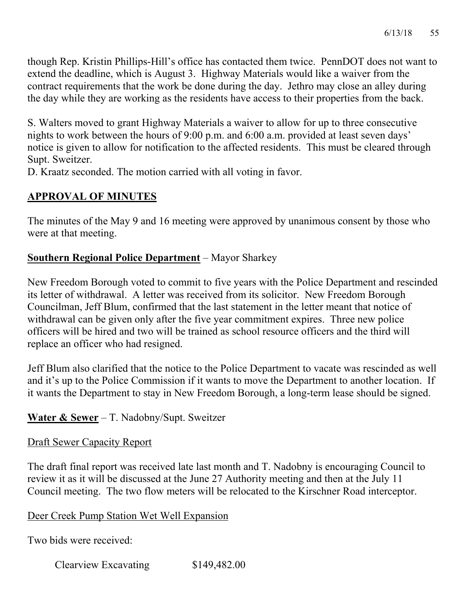though Rep. Kristin Phillips-Hill's office has contacted them twice. PennDOT does not want to extend the deadline, which is August 3. Highway Materials would like a waiver from the contract requirements that the work be done during the day. Jethro may close an alley during the day while they are working as the residents have access to their properties from the back.

S. Walters moved to grant Highway Materials a waiver to allow for up to three consecutive nights to work between the hours of 9:00 p.m. and 6:00 a.m. provided at least seven days' notice is given to allow for notification to the affected residents. This must be cleared through Supt. Sweitzer.

D. Kraatz seconded. The motion carried with all voting in favor.

# **APPROVAL OF MINUTES**

The minutes of the May 9 and 16 meeting were approved by unanimous consent by those who were at that meeting.

## **Southern Regional Police Department** – Mayor Sharkey

New Freedom Borough voted to commit to five years with the Police Department and rescinded its letter of withdrawal. A letter was received from its solicitor. New Freedom Borough Councilman, Jeff Blum, confirmed that the last statement in the letter meant that notice of withdrawal can be given only after the five year commitment expires. Three new police officers will be hired and two will be trained as school resource officers and the third will replace an officer who had resigned.

Jeff Blum also clarified that the notice to the Police Department to vacate was rescinded as well and it's up to the Police Commission if it wants to move the Department to another location. If it wants the Department to stay in New Freedom Borough, a long-term lease should be signed.

# **Water & Sewer** – T. Nadobny/Supt. Sweitzer

## Draft Sewer Capacity Report

The draft final report was received late last month and T. Nadobny is encouraging Council to review it as it will be discussed at the June 27 Authority meeting and then at the July 11 Council meeting. The two flow meters will be relocated to the Kirschner Road interceptor.

## Deer Creek Pump Station Wet Well Expansion

Two bids were received:

Clearview Excavating \$149,482.00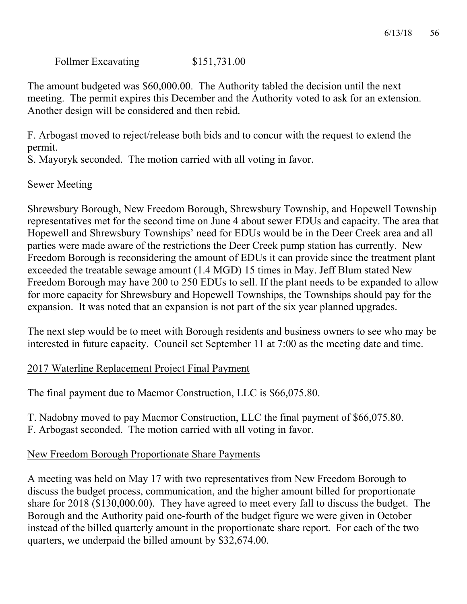Follmer Excavating \$151,731.00

The amount budgeted was \$60,000.00. The Authority tabled the decision until the next meeting. The permit expires this December and the Authority voted to ask for an extension. Another design will be considered and then rebid.

F. Arbogast moved to reject/release both bids and to concur with the request to extend the permit.

S. Mayoryk seconded. The motion carried with all voting in favor.

#### Sewer Meeting

Shrewsbury Borough, New Freedom Borough, Shrewsbury Township, and Hopewell Township representatives met for the second time on June 4 about sewer EDUs and capacity. The area that Hopewell and Shrewsbury Townships' need for EDUs would be in the Deer Creek area and all parties were made aware of the restrictions the Deer Creek pump station has currently. New Freedom Borough is reconsidering the amount of EDUs it can provide since the treatment plant exceeded the treatable sewage amount (1.4 MGD) 15 times in May. Jeff Blum stated New Freedom Borough may have 200 to 250 EDUs to sell. If the plant needs to be expanded to allow for more capacity for Shrewsbury and Hopewell Townships, the Townships should pay for the expansion. It was noted that an expansion is not part of the six year planned upgrades.

The next step would be to meet with Borough residents and business owners to see who may be interested in future capacity. Council set September 11 at 7:00 as the meeting date and time.

#### 2017 Waterline Replacement Project Final Payment

The final payment due to Macmor Construction, LLC is \$66,075.80.

T. Nadobny moved to pay Macmor Construction, LLC the final payment of \$66,075.80. F. Arbogast seconded. The motion carried with all voting in favor.

#### New Freedom Borough Proportionate Share Payments

A meeting was held on May 17 with two representatives from New Freedom Borough to discuss the budget process, communication, and the higher amount billed for proportionate share for 2018 (\$130,000.00). They have agreed to meet every fall to discuss the budget. The Borough and the Authority paid one-fourth of the budget figure we were given in October instead of the billed quarterly amount in the proportionate share report. For each of the two quarters, we underpaid the billed amount by \$32,674.00.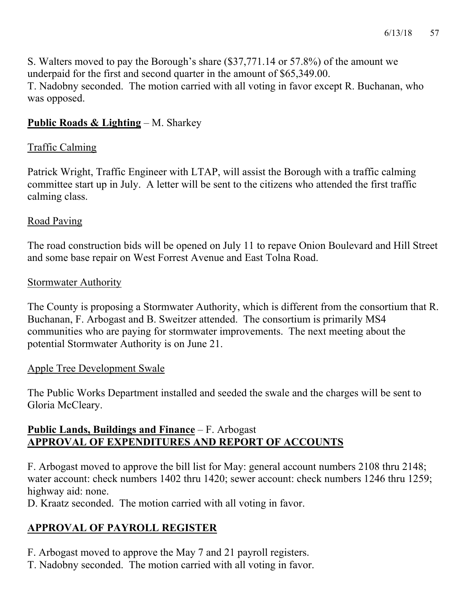S. Walters moved to pay the Borough's share (\$37,771.14 or 57.8%) of the amount we underpaid for the first and second quarter in the amount of \$65,349.00. T. Nadobny seconded. The motion carried with all voting in favor except R. Buchanan, who was opposed.

# **Public Roads & Lighting** – M. Sharkey

# Traffic Calming

Patrick Wright, Traffic Engineer with LTAP, will assist the Borough with a traffic calming committee start up in July. A letter will be sent to the citizens who attended the first traffic calming class.

## Road Paving

The road construction bids will be opened on July 11 to repave Onion Boulevard and Hill Street and some base repair on West Forrest Avenue and East Tolna Road.

## Stormwater Authority

The County is proposing a Stormwater Authority, which is different from the consortium that R. Buchanan, F. Arbogast and B. Sweitzer attended. The consortium is primarily MS4 communities who are paying for stormwater improvements. The next meeting about the potential Stormwater Authority is on June 21.

## Apple Tree Development Swale

The Public Works Department installed and seeded the swale and the charges will be sent to Gloria McCleary.

# **Public Lands, Buildings and Finance** – F. Arbogast **APPROVAL OF EXPENDITURES AND REPORT OF ACCOUNTS**

F. Arbogast moved to approve the bill list for May: general account numbers 2108 thru 2148; water account: check numbers 1402 thru 1420; sewer account: check numbers 1246 thru 1259; highway aid: none.

D. Kraatz seconded. The motion carried with all voting in favor.

# **APPROVAL OF PAYROLL REGISTER**

- F. Arbogast moved to approve the May 7 and 21 payroll registers.
- T. Nadobny seconded. The motion carried with all voting in favor.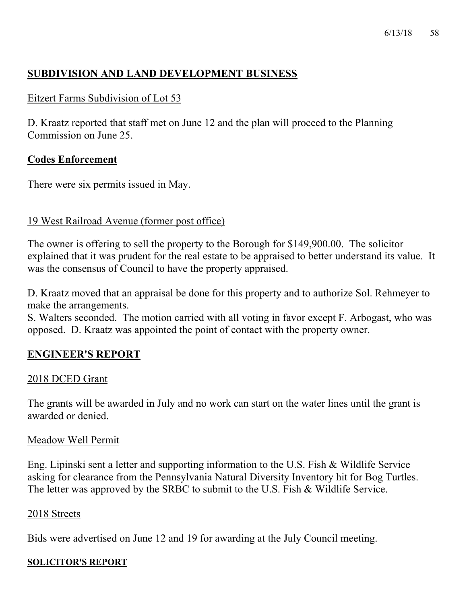# **SUBDIVISION AND LAND DEVELOPMENT BUSINESS**

## Eitzert Farms Subdivision of Lot 53

D. Kraatz reported that staff met on June 12 and the plan will proceed to the Planning Commission on June 25.

## **Codes Enforcement**

There were six permits issued in May.

#### 19 West Railroad Avenue (former post office)

The owner is offering to sell the property to the Borough for \$149,900.00. The solicitor explained that it was prudent for the real estate to be appraised to better understand its value. It was the consensus of Council to have the property appraised.

D. Kraatz moved that an appraisal be done for this property and to authorize Sol. Rehmeyer to make the arrangements.

S. Walters seconded. The motion carried with all voting in favor except F. Arbogast, who was opposed. D. Kraatz was appointed the point of contact with the property owner.

## **ENGINEER'S REPORT**

#### 2018 DCED Grant

The grants will be awarded in July and no work can start on the water lines until the grant is awarded or denied.

#### Meadow Well Permit

Eng. Lipinski sent a letter and supporting information to the U.S. Fish & Wildlife Service asking for clearance from the Pennsylvania Natural Diversity Inventory hit for Bog Turtles. The letter was approved by the SRBC to submit to the U.S. Fish & Wildlife Service.

#### 2018 Streets

Bids were advertised on June 12 and 19 for awarding at the July Council meeting.

#### **SOLICITOR'S REPORT**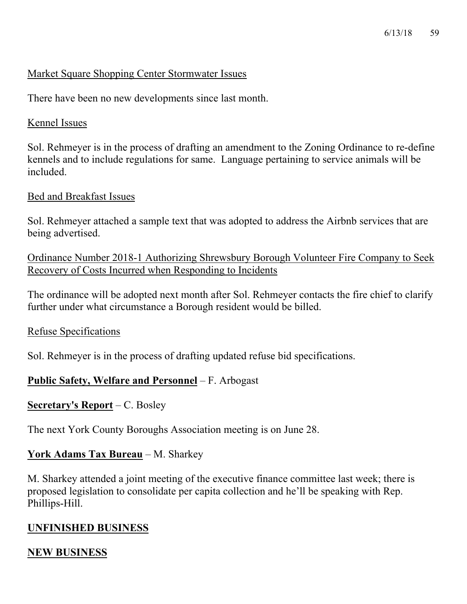#### Market Square Shopping Center Stormwater Issues

There have been no new developments since last month.

#### Kennel Issues

Sol. Rehmeyer is in the process of drafting an amendment to the Zoning Ordinance to re-define kennels and to include regulations for same. Language pertaining to service animals will be included.

#### Bed and Breakfast Issues

Sol. Rehmeyer attached a sample text that was adopted to address the Airbnb services that are being advertised.

Ordinance Number 2018-1 Authorizing Shrewsbury Borough Volunteer Fire Company to Seek Recovery of Costs Incurred when Responding to Incidents

The ordinance will be adopted next month after Sol. Rehmeyer contacts the fire chief to clarify further under what circumstance a Borough resident would be billed.

#### Refuse Specifications

Sol. Rehmeyer is in the process of drafting updated refuse bid specifications.

# **Public Safety, Welfare and Personnel** – F. Arbogast

## **Secretary's Report** – C. Bosley

The next York County Boroughs Association meeting is on June 28.

## **York Adams Tax Bureau** – M. Sharkey

M. Sharkey attended a joint meeting of the executive finance committee last week; there is proposed legislation to consolidate per capita collection and he'll be speaking with Rep. Phillips-Hill.

## **UNFINISHED BUSINESS**

# **NEW BUSINESS**